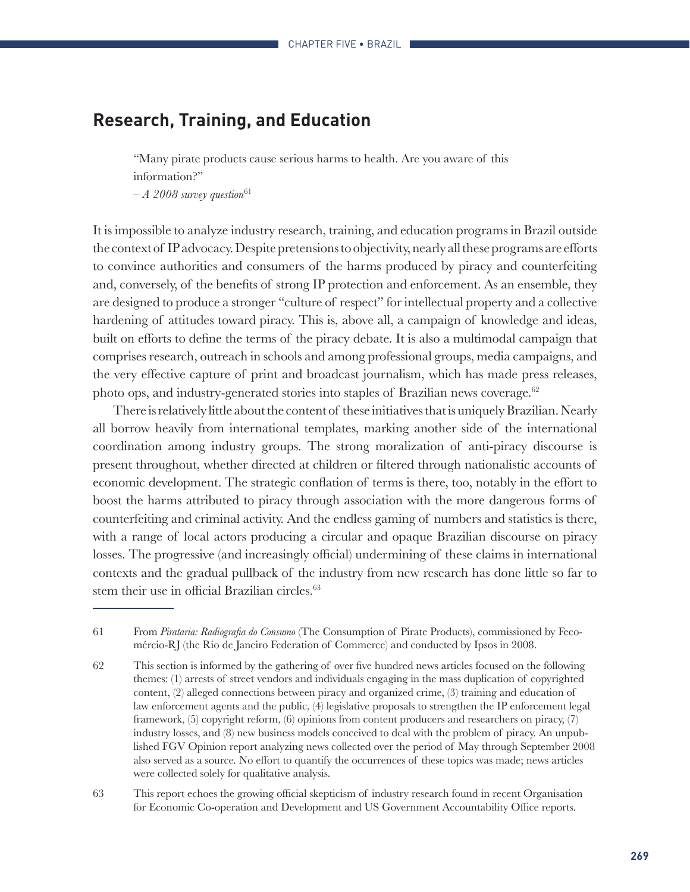# **Research, Training, and Education**

"Many pirate products cause serious harms to health. Are you aware of this information?"  $-A$  2008 survey question<sup>61</sup>

It is impossible to analyze industry research, training, and education programs in Brazil outside the context of IP advocacy. Despite pretensions to objectivity, nearly all these programs are efforts to convince authorities and consumers of the harms produced by piracy and counterfeiting and, conversely, of the benefits of strong IP protection and enforcement. As an ensemble, they are designed to produce a stronger "culture of respect" for intellectual property and a collective hardening of attitudes toward piracy. This is, above all, a campaign of knowledge and ideas, built on efforts to define the terms of the piracy debate. It is also a multimodal campaign that comprises research, outreach in schools and among professional groups, media campaigns, and the very effective capture of print and broadcast journalism, which has made press releases, photo ops, and industry-generated stories into staples of Brazilian news coverage.<sup>62</sup>

There is relatively little about the content of these initiatives that is uniquely Brazilian. Nearly all borrow heavily from international templates, marking another side of the international coordination among industry groups. The strong moralization of anti-piracy discourse is present throughout, whether directed at children or filtered through nationalistic accounts of economic development. The strategic conflation of terms is there, too, notably in the effort to boost the harms attributed to piracy through association with the more dangerous forms of counterfeiting and criminal activity. And the endless gaming of numbers and statistics is there, with a range of local actors producing a circular and opaque Brazilian discourse on piracy losses. The progressive (and increasingly official) undermining of these claims in international contexts and the gradual pullback of the industry from new research has done little so far to stem their use in official Brazilian circles.<sup>63</sup>

63 This report echoes the growing official skepticism of industry research found in recent Organisation for Economic Co-operation and Development and US Government Accountability Office reports.

<sup>61</sup> From *Pirataria: Radiografia do Consumo* (The Consumption of Pirate Products), commissioned by Fecomércio-RJ (the Rio de Janeiro Federation of Commerce) and conducted by Ipsos in 2008.

<sup>62</sup> This section is informed by the gathering of over five hundred news articles focused on the following themes: (1) arrests of street vendors and individuals engaging in the mass duplication of copyrighted content, (2) alleged connections between piracy and organized crime, (3) training and education of law enforcement agents and the public, (4) legislative proposals to strengthen the IP enforcement legal framework, (5) copyright reform, (6) opinions from content producers and researchers on piracy, (7) industry losses, and (8) new business models conceived to deal with the problem of piracy. An unpublished FGV Opinion report analyzing news collected over the period of May through September 2008 also served as a source. No effort to quantify the occurrences of these topics was made; news articles were collected solely for qualitative analysis.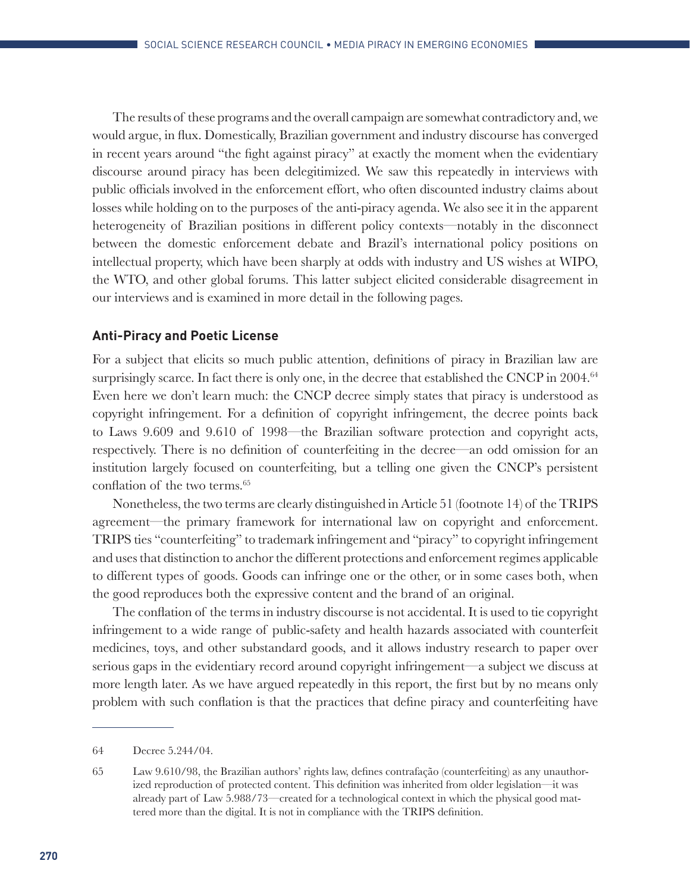The results of these programs and the overall campaign are somewhat contradictory and, we would argue, in flux. Domestically, Brazilian government and industry discourse has converged in recent years around "the fight against piracy" at exactly the moment when the evidentiary discourse around piracy has been delegitimized. We saw this repeatedly in interviews with public officials involved in the enforcement effort, who often discounted industry claims about losses while holding on to the purposes of the anti-piracy agenda. We also see it in the apparent heterogeneity of Brazilian positions in different policy contexts—notably in the disconnect between the domestic enforcement debate and Brazil's international policy positions on intellectual property, which have been sharply at odds with industry and US wishes at WIPO, the WTO, and other global forums. This latter subject elicited considerable disagreement in our interviews and is examined in more detail in the following pages.

### **Anti-Piracy and Poetic License**

For a subject that elicits so much public attention, definitions of piracy in Brazilian law are surprisingly scarce. In fact there is only one, in the decree that established the CNCP in 2004.<sup>64</sup> Even here we don't learn much: the CNCP decree simply states that piracy is understood as copyright infringement. For a definition of copyright infringement, the decree points back to Laws 9.609 and 9.610 of 1998—the Brazilian software protection and copyright acts, respectively. There is no definition of counterfeiting in the decree—an odd omission for an institution largely focused on counterfeiting, but a telling one given the CNCP's persistent conflation of the two terms.65

Nonetheless, the two terms are clearly distinguished in Article 51 (footnote 14) of the TRIPS agreement—the primary framework for international law on copyright and enforcement. TRIPS ties "counterfeiting" to trademark infringement and "piracy" to copyright infringement and uses that distinction to anchor the different protections and enforcement regimes applicable to different types of goods. Goods can infringe one or the other, or in some cases both, when the good reproduces both the expressive content and the brand of an original.

The conflation of the terms in industry discourse is not accidental. It is used to tie copyright infringement to a wide range of public-safety and health hazards associated with counterfeit medicines, toys, and other substandard goods, and it allows industry research to paper over serious gaps in the evidentiary record around copyright infringement—a subject we discuss at more length later. As we have argued repeatedly in this report, the first but by no means only problem with such conflation is that the practices that define piracy and counterfeiting have

<sup>64</sup> Decree 5.244/04.

<sup>65</sup> Law 9.610/98, the Brazilian authors' rights law, defines contrafação (counterfeiting) as any unauthorized reproduction of protected content. This definition was inherited from older legislation––it was already part of Law 5.988/73––created for a technological context in which the physical good mattered more than the digital. It is not in compliance with the TRIPS definition.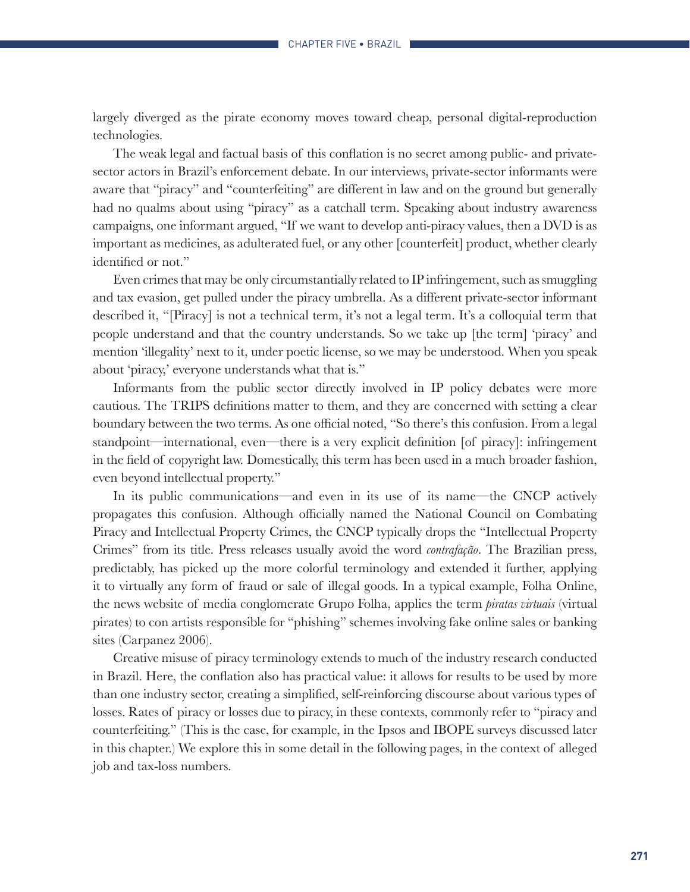largely diverged as the pirate economy moves toward cheap, personal digital-reproduction technologies.

The weak legal and factual basis of this conflation is no secret among public- and privatesector actors in Brazil's enforcement debate. In our interviews, private-sector informants were aware that "piracy" and "counterfeiting" are different in law and on the ground but generally had no qualms about using "piracy" as a catchall term. Speaking about industry awareness campaigns, one informant argued, "If we want to develop anti-piracy values, then a DVD is as important as medicines, as adulterated fuel, or any other [counterfeit] product, whether clearly identified or not."

Even crimes that may be only circumstantially related to IP infringement, such as smuggling and tax evasion, get pulled under the piracy umbrella. As a different private-sector informant described it, "[Piracy] is not a technical term, it's not a legal term. It's a colloquial term that people understand and that the country understands. So we take up [the term] 'piracy' and mention 'illegality' next to it, under poetic license, so we may be understood. When you speak about 'piracy,' everyone understands what that is."

Informants from the public sector directly involved in IP policy debates were more cautious. The TRIPS definitions matter to them, and they are concerned with setting a clear boundary between the two terms. As one official noted, "So there's this confusion. From a legal standpoint—international, even—there is a very explicit definition [of piracy]: infringement in the field of copyright law. Domestically, this term has been used in a much broader fashion, even beyond intellectual property."

In its public communications—and even in its use of its name—the CNCP actively propagates this confusion. Although officially named the National Council on Combating Piracy and Intellectual Property Crimes, the CNCP typically drops the "Intellectual Property Crimes" from its title. Press releases usually avoid the word *contrafação*. The Brazilian press, predictably, has picked up the more colorful terminology and extended it further, applying it to virtually any form of fraud or sale of illegal goods. In a typical example, Folha Online, the news website of media conglomerate Grupo Folha, applies the term *piratas virtuais* (virtual pirates) to con artists responsible for "phishing" schemes involving fake online sales or banking sites (Carpanez 2006).

Creative misuse of piracy terminology extends to much of the industry research conducted in Brazil. Here, the conflation also has practical value: it allows for results to be used by more than one industry sector, creating a simplified, self-reinforcing discourse about various types of losses. Rates of piracy or losses due to piracy, in these contexts, commonly refer to "piracy and counterfeiting." (This is the case, for example, in the Ipsos and IBOPE surveys discussed later in this chapter.) We explore this in some detail in the following pages, in the context of alleged job and tax-loss numbers.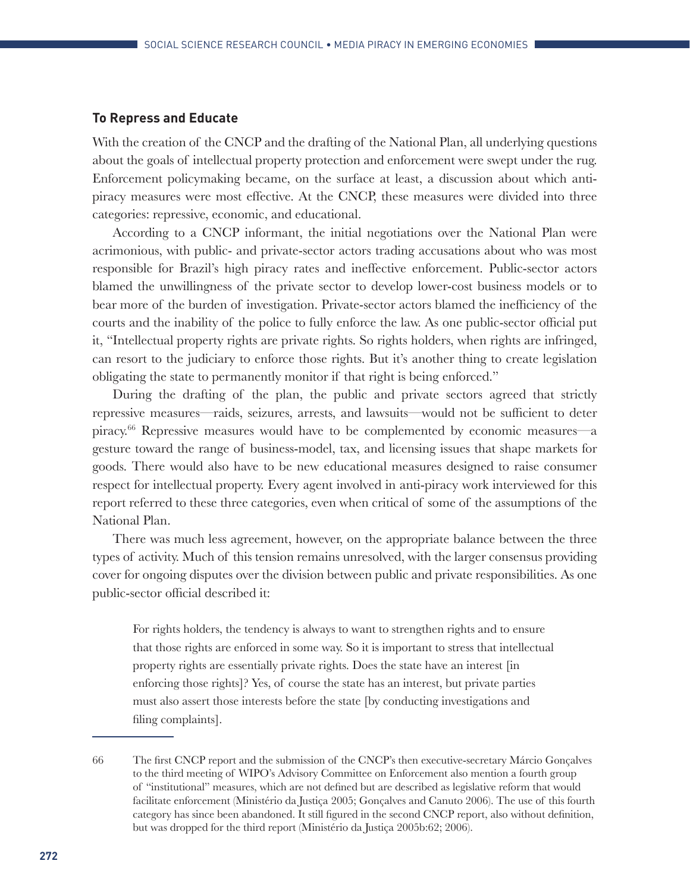### **To Repress and Educate**

With the creation of the CNCP and the drafting of the National Plan, all underlying questions about the goals of intellectual property protection and enforcement were swept under the rug. Enforcement policymaking became, on the surface at least, a discussion about which antipiracy measures were most effective. At the CNCP, these measures were divided into three categories: repressive, economic, and educational.

According to a CNCP informant, the initial negotiations over the National Plan were acrimonious, with public- and private-sector actors trading accusations about who was most responsible for Brazil's high piracy rates and ineffective enforcement. Public-sector actors blamed the unwillingness of the private sector to develop lower-cost business models or to bear more of the burden of investigation. Private-sector actors blamed the inefficiency of the courts and the inability of the police to fully enforce the law. As one public-sector official put it, "Intellectual property rights are private rights. So rights holders, when rights are infringed, can resort to the judiciary to enforce those rights. But it's another thing to create legislation obligating the state to permanently monitor if that right is being enforced."

During the drafting of the plan, the public and private sectors agreed that strictly repressive measures—raids, seizures, arrests, and lawsuits—would not be sufficient to deter piracy.66 Repressive measures would have to be complemented by economic measures—a gesture toward the range of business-model, tax, and licensing issues that shape markets for goods. There would also have to be new educational measures designed to raise consumer respect for intellectual property. Every agent involved in anti-piracy work interviewed for this report referred to these three categories, even when critical of some of the assumptions of the National Plan.

There was much less agreement, however, on the appropriate balance between the three types of activity. Much of this tension remains unresolved, with the larger consensus providing cover for ongoing disputes over the division between public and private responsibilities. As one public-sector official described it:

For rights holders, the tendency is always to want to strengthen rights and to ensure that those rights are enforced in some way. So it is important to stress that intellectual property rights are essentially private rights. Does the state have an interest [in enforcing those rights]? Yes, of course the state has an interest, but private parties must also assert those interests before the state [by conducting investigations and filing complaints].

<sup>66</sup> The first CNCP report and the submission of the CNCP's then executive-secretary Márcio Gonçalves to the third meeting of WIPO's Advisory Committee on Enforcement also mention a fourth group of "institutional" measures, which are not defined but are described as legislative reform that would facilitate enforcement (Ministério da Justiça 2005; Gonçalves and Canuto 2006). The use of this fourth category has since been abandoned. It still figured in the second CNCP report, also without definition, but was dropped for the third report (Ministério da Justiça 2005b:62; 2006).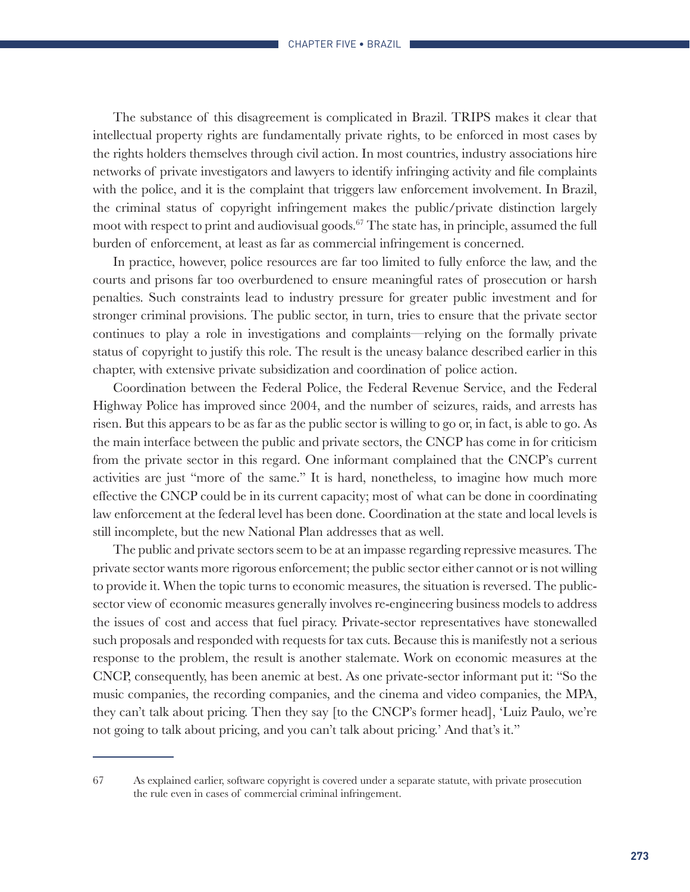The substance of this disagreement is complicated in Brazil. TRIPS makes it clear that intellectual property rights are fundamentally private rights, to be enforced in most cases by the rights holders themselves through civil action. In most countries, industry associations hire networks of private investigators and lawyers to identify infringing activity and file complaints with the police, and it is the complaint that triggers law enforcement involvement. In Brazil, the criminal status of copyright infringement makes the public/private distinction largely moot with respect to print and audiovisual goods.<sup>67</sup> The state has, in principle, assumed the full burden of enforcement, at least as far as commercial infringement is concerned.

In practice, however, police resources are far too limited to fully enforce the law, and the courts and prisons far too overburdened to ensure meaningful rates of prosecution or harsh penalties. Such constraints lead to industry pressure for greater public investment and for stronger criminal provisions. The public sector, in turn, tries to ensure that the private sector continues to play a role in investigations and complaints—relying on the formally private status of copyright to justify this role. The result is the uneasy balance described earlier in this chapter, with extensive private subsidization and coordination of police action.

Coordination between the Federal Police, the Federal Revenue Service, and the Federal Highway Police has improved since 2004, and the number of seizures, raids, and arrests has risen. But this appears to be as far as the public sector is willing to go or, in fact, is able to go. As the main interface between the public and private sectors, the CNCP has come in for criticism from the private sector in this regard. One informant complained that the CNCP's current activities are just "more of the same." It is hard, nonetheless, to imagine how much more effective the CNCP could be in its current capacity; most of what can be done in coordinating law enforcement at the federal level has been done. Coordination at the state and local levels is still incomplete, but the new National Plan addresses that as well.

The public and private sectors seem to be at an impasse regarding repressive measures. The private sector wants more rigorous enforcement; the public sector either cannot or is not willing to provide it. When the topic turns to economic measures, the situation is reversed. The publicsector view of economic measures generally involves re-engineering business models to address the issues of cost and access that fuel piracy. Private-sector representatives have stonewalled such proposals and responded with requests for tax cuts. Because this is manifestly not a serious response to the problem, the result is another stalemate. Work on economic measures at the CNCP, consequently, has been anemic at best. As one private-sector informant put it: "So the music companies, the recording companies, and the cinema and video companies, the MPA, they can't talk about pricing. Then they say [to the CNCP's former head], 'Luiz Paulo, we're not going to talk about pricing, and you can't talk about pricing.' And that's it."

<sup>67</sup> As explained earlier, software copyright is covered under a separate statute, with private prosecution the rule even in cases of commercial criminal infringement.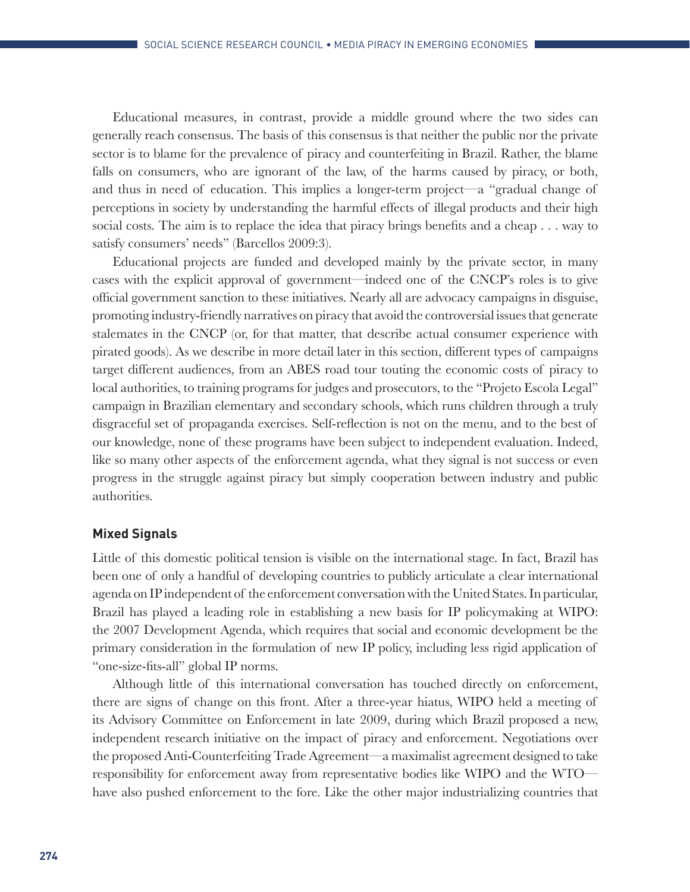Educational measures, in contrast, provide a middle ground where the two sides can generally reach consensus. The basis of this consensus is that neither the public nor the private sector is to blame for the prevalence of piracy and counterfeiting in Brazil. Rather, the blame falls on consumers, who are ignorant of the law, of the harms caused by piracy, or both, and thus in need of education. This implies a longer-term project—a "gradual change of perceptions in society by understanding the harmful effects of illegal products and their high social costs. The aim is to replace the idea that piracy brings benefits and a cheap . . . way to satisfy consumers' needs" (Barcellos 2009:3).

Educational projects are funded and developed mainly by the private sector, in many cases with the explicit approval of government—indeed one of the CNCP's roles is to give official government sanction to these initiatives. Nearly all are advocacy campaigns in disguise, promoting industry-friendly narratives on piracy that avoid the controversial issues that generate stalemates in the CNCP (or, for that matter, that describe actual consumer experience with pirated goods). As we describe in more detail later in this section, different types of campaigns target different audiences, from an ABES road tour touting the economic costs of piracy to local authorities, to training programs for judges and prosecutors, to the "Projeto Escola Legal" campaign in Brazilian elementary and secondary schools, which runs children through a truly disgraceful set of propaganda exercises. Self-reflection is not on the menu, and to the best of our knowledge, none of these programs have been subject to independent evaluation. Indeed, like so many other aspects of the enforcement agenda, what they signal is not success or even progress in the struggle against piracy but simply cooperation between industry and public authorities.

#### **Mixed Signals**

Little of this domestic political tension is visible on the international stage. In fact, Brazil has been one of only a handful of developing countries to publicly articulate a clear international agenda on IP independent of the enforcement conversation with the United States. In particular, Brazil has played a leading role in establishing a new basis for IP policymaking at WIPO: the 2007 Development Agenda, which requires that social and economic development be the primary consideration in the formulation of new IP policy, including less rigid application of "one-size-fits-all" global IP norms.

Although little of this international conversation has touched directly on enforcement, there are signs of change on this front. After a three-year hiatus, WIPO held a meeting of its Advisory Committee on Enforcement in late 2009, during which Brazil proposed a new, independent research initiative on the impact of piracy and enforcement. Negotiations over the proposed Anti-Counterfeiting Trade Agreement—a maximalist agreement designed to take responsibility for enforcement away from representative bodies like WIPO and the WTO have also pushed enforcement to the fore. Like the other major industrializing countries that